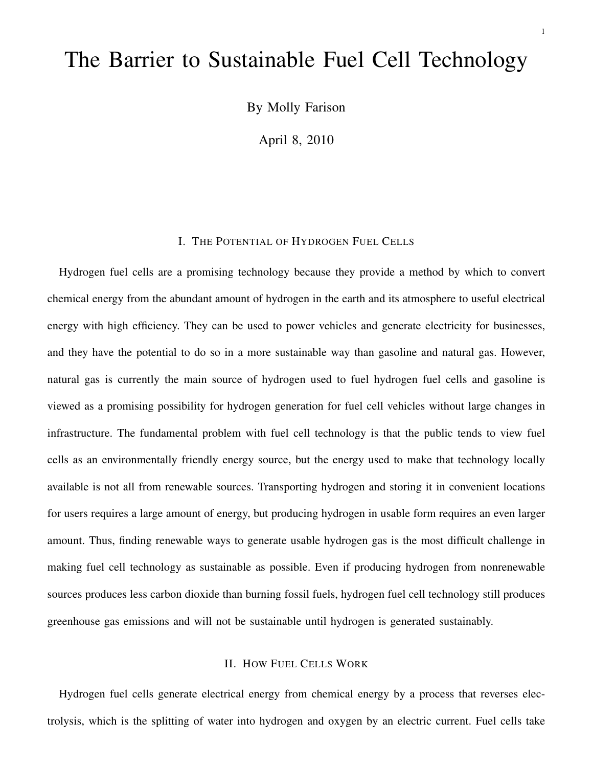# The Barrier to Sustainable Fuel Cell Technology

By Molly Farison

April 8, 2010

## I. THE POTENTIAL OF HYDROGEN FUEL CELLS

Hydrogen fuel cells are a promising technology because they provide a method by which to convert chemical energy from the abundant amount of hydrogen in the earth and its atmosphere to useful electrical energy with high efficiency. They can be used to power vehicles and generate electricity for businesses, and they have the potential to do so in a more sustainable way than gasoline and natural gas. However, natural gas is currently the main source of hydrogen used to fuel hydrogen fuel cells and gasoline is viewed as a promising possibility for hydrogen generation for fuel cell vehicles without large changes in infrastructure. The fundamental problem with fuel cell technology is that the public tends to view fuel cells as an environmentally friendly energy source, but the energy used to make that technology locally available is not all from renewable sources. Transporting hydrogen and storing it in convenient locations for users requires a large amount of energy, but producing hydrogen in usable form requires an even larger amount. Thus, finding renewable ways to generate usable hydrogen gas is the most difficult challenge in making fuel cell technology as sustainable as possible. Even if producing hydrogen from nonrenewable sources produces less carbon dioxide than burning fossil fuels, hydrogen fuel cell technology still produces greenhouse gas emissions and will not be sustainable until hydrogen is generated sustainably.

### II. HOW FUEL CELLS WORK

Hydrogen fuel cells generate electrical energy from chemical energy by a process that reverses electrolysis, which is the splitting of water into hydrogen and oxygen by an electric current. Fuel cells take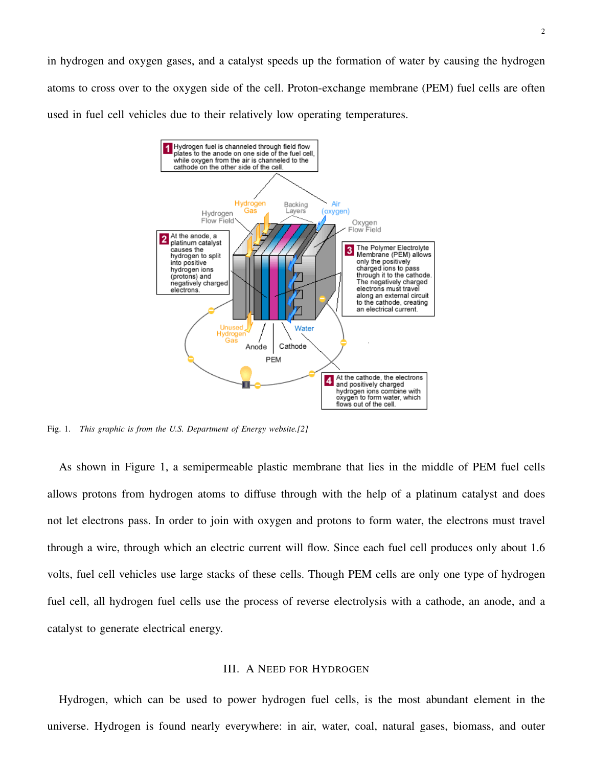in hydrogen and oxygen gases, and a catalyst speeds up the formation of water by causing the hydrogen atoms to cross over to the oxygen side of the cell. Proton-exchange membrane (PEM) fuel cells are often used in fuel cell vehicles due to their relatively low operating temperatures.



Fig. 1. *This graphic is from the U.S. Department of Energy website.[2]*

As shown in Figure 1, a semipermeable plastic membrane that lies in the middle of PEM fuel cells allows protons from hydrogen atoms to diffuse through with the help of a platinum catalyst and does not let electrons pass. In order to join with oxygen and protons to form water, the electrons must travel through a wire, through which an electric current will flow. Since each fuel cell produces only about 1.6 volts, fuel cell vehicles use large stacks of these cells. Though PEM cells are only one type of hydrogen fuel cell, all hydrogen fuel cells use the process of reverse electrolysis with a cathode, an anode, and a catalyst to generate electrical energy.

#### III. A NEED FOR HYDROGEN

Hydrogen, which can be used to power hydrogen fuel cells, is the most abundant element in the universe. Hydrogen is found nearly everywhere: in air, water, coal, natural gases, biomass, and outer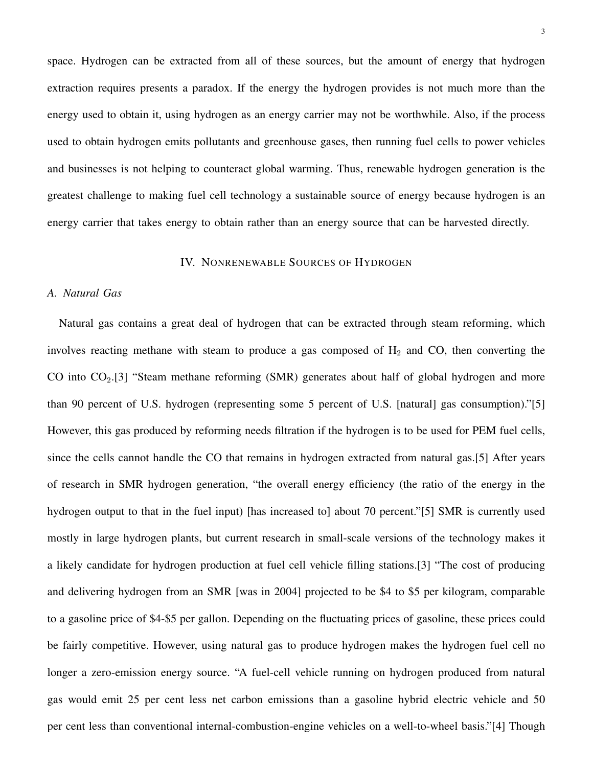space. Hydrogen can be extracted from all of these sources, but the amount of energy that hydrogen extraction requires presents a paradox. If the energy the hydrogen provides is not much more than the energy used to obtain it, using hydrogen as an energy carrier may not be worthwhile. Also, if the process used to obtain hydrogen emits pollutants and greenhouse gases, then running fuel cells to power vehicles and businesses is not helping to counteract global warming. Thus, renewable hydrogen generation is the greatest challenge to making fuel cell technology a sustainable source of energy because hydrogen is an energy carrier that takes energy to obtain rather than an energy source that can be harvested directly.

#### IV. NONRENEWABLE SOURCES OF HYDROGEN

## *A. Natural Gas*

Natural gas contains a great deal of hydrogen that can be extracted through steam reforming, which involves reacting methane with steam to produce a gas composed of  $H_2$  and CO, then converting the CO into CO<sub>2</sub>.[3] "Steam methane reforming (SMR) generates about half of global hydrogen and more than 90 percent of U.S. hydrogen (representing some 5 percent of U.S. [natural] gas consumption)."[5] However, this gas produced by reforming needs filtration if the hydrogen is to be used for PEM fuel cells, since the cells cannot handle the CO that remains in hydrogen extracted from natural gas.[5] After years of research in SMR hydrogen generation, "the overall energy efficiency (the ratio of the energy in the hydrogen output to that in the fuel input) [has increased to] about 70 percent."[5] SMR is currently used mostly in large hydrogen plants, but current research in small-scale versions of the technology makes it a likely candidate for hydrogen production at fuel cell vehicle filling stations.[3] "The cost of producing and delivering hydrogen from an SMR [was in 2004] projected to be \$4 to \$5 per kilogram, comparable to a gasoline price of \$4-\$5 per gallon. Depending on the fluctuating prices of gasoline, these prices could be fairly competitive. However, using natural gas to produce hydrogen makes the hydrogen fuel cell no longer a zero-emission energy source. "A fuel-cell vehicle running on hydrogen produced from natural gas would emit 25 per cent less net carbon emissions than a gasoline hybrid electric vehicle and 50 per cent less than conventional internal-combustion-engine vehicles on a well-to-wheel basis."[4] Though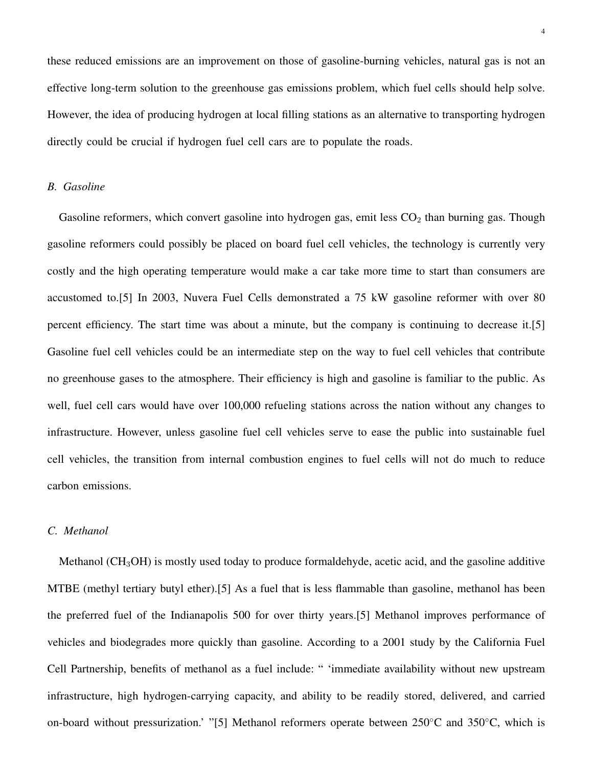these reduced emissions are an improvement on those of gasoline-burning vehicles, natural gas is not an effective long-term solution to the greenhouse gas emissions problem, which fuel cells should help solve. However, the idea of producing hydrogen at local filling stations as an alternative to transporting hydrogen directly could be crucial if hydrogen fuel cell cars are to populate the roads.

# *B. Gasoline*

Gasoline reformers, which convert gasoline into hydrogen gas, emit less  $CO<sub>2</sub>$  than burning gas. Though gasoline reformers could possibly be placed on board fuel cell vehicles, the technology is currently very costly and the high operating temperature would make a car take more time to start than consumers are accustomed to.[5] In 2003, Nuvera Fuel Cells demonstrated a 75 kW gasoline reformer with over 80 percent efficiency. The start time was about a minute, but the company is continuing to decrease it.[5] Gasoline fuel cell vehicles could be an intermediate step on the way to fuel cell vehicles that contribute no greenhouse gases to the atmosphere. Their efficiency is high and gasoline is familiar to the public. As well, fuel cell cars would have over 100,000 refueling stations across the nation without any changes to infrastructure. However, unless gasoline fuel cell vehicles serve to ease the public into sustainable fuel cell vehicles, the transition from internal combustion engines to fuel cells will not do much to reduce carbon emissions.

## *C. Methanol*

Methanol ( $CH<sub>3</sub>OH$ ) is mostly used today to produce formaldehyde, acetic acid, and the gasoline additive MTBE (methyl tertiary butyl ether).[5] As a fuel that is less flammable than gasoline, methanol has been the preferred fuel of the Indianapolis 500 for over thirty years.[5] Methanol improves performance of vehicles and biodegrades more quickly than gasoline. According to a 2001 study by the California Fuel Cell Partnership, benefits of methanol as a fuel include: " 'immediate availability without new upstream infrastructure, high hydrogen-carrying capacity, and ability to be readily stored, delivered, and carried on-board without pressurization.' "[5] Methanol reformers operate between 250◦C and 350◦C, which is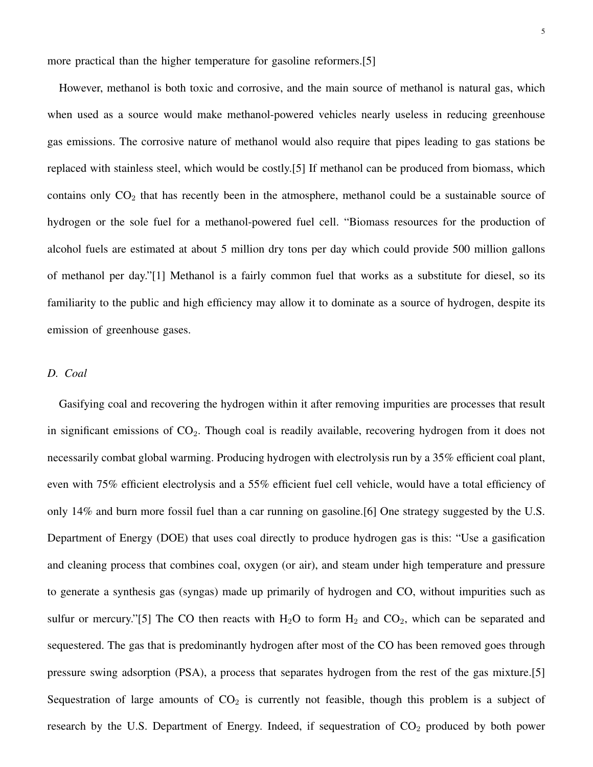more practical than the higher temperature for gasoline reformers.[5]

However, methanol is both toxic and corrosive, and the main source of methanol is natural gas, which when used as a source would make methanol-powered vehicles nearly useless in reducing greenhouse gas emissions. The corrosive nature of methanol would also require that pipes leading to gas stations be replaced with stainless steel, which would be costly.[5] If methanol can be produced from biomass, which contains only  $CO<sub>2</sub>$  that has recently been in the atmosphere, methanol could be a sustainable source of hydrogen or the sole fuel for a methanol-powered fuel cell. "Biomass resources for the production of alcohol fuels are estimated at about 5 million dry tons per day which could provide 500 million gallons of methanol per day."[1] Methanol is a fairly common fuel that works as a substitute for diesel, so its familiarity to the public and high efficiency may allow it to dominate as a source of hydrogen, despite its emission of greenhouse gases.

#### *D. Coal*

Gasifying coal and recovering the hydrogen within it after removing impurities are processes that result in significant emissions of  $CO<sub>2</sub>$ . Though coal is readily available, recovering hydrogen from it does not necessarily combat global warming. Producing hydrogen with electrolysis run by a 35% efficient coal plant, even with 75% efficient electrolysis and a 55% efficient fuel cell vehicle, would have a total efficiency of only 14% and burn more fossil fuel than a car running on gasoline.[6] One strategy suggested by the U.S. Department of Energy (DOE) that uses coal directly to produce hydrogen gas is this: "Use a gasification and cleaning process that combines coal, oxygen (or air), and steam under high temperature and pressure to generate a synthesis gas (syngas) made up primarily of hydrogen and CO, without impurities such as sulfur or mercury."[5] The CO then reacts with  $H_2O$  to form  $H_2$  and  $CO_2$ , which can be separated and sequestered. The gas that is predominantly hydrogen after most of the CO has been removed goes through pressure swing adsorption (PSA), a process that separates hydrogen from the rest of the gas mixture.[5] Sequestration of large amounts of  $CO<sub>2</sub>$  is currently not feasible, though this problem is a subject of research by the U.S. Department of Energy. Indeed, if sequestration of  $CO<sub>2</sub>$  produced by both power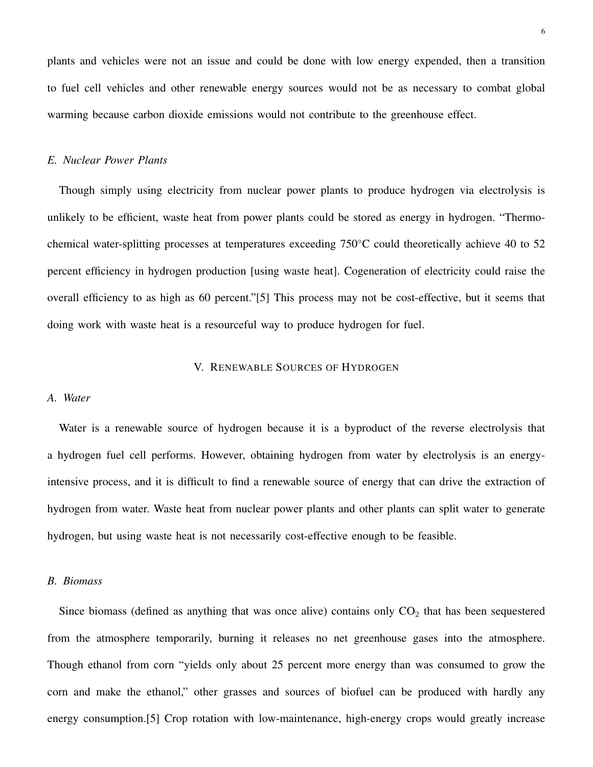plants and vehicles were not an issue and could be done with low energy expended, then a transition to fuel cell vehicles and other renewable energy sources would not be as necessary to combat global warming because carbon dioxide emissions would not contribute to the greenhouse effect.

## *E. Nuclear Power Plants*

Though simply using electricity from nuclear power plants to produce hydrogen via electrolysis is unlikely to be efficient, waste heat from power plants could be stored as energy in hydrogen. "Thermochemical water-splitting processes at temperatures exceeding 750◦C could theoretically achieve 40 to 52 percent efficiency in hydrogen production [using waste heat]. Cogeneration of electricity could raise the overall efficiency to as high as 60 percent."[5] This process may not be cost-effective, but it seems that doing work with waste heat is a resourceful way to produce hydrogen for fuel.

#### V. RENEWABLE SOURCES OF HYDROGEN

#### *A. Water*

Water is a renewable source of hydrogen because it is a byproduct of the reverse electrolysis that a hydrogen fuel cell performs. However, obtaining hydrogen from water by electrolysis is an energyintensive process, and it is difficult to find a renewable source of energy that can drive the extraction of hydrogen from water. Waste heat from nuclear power plants and other plants can split water to generate hydrogen, but using waste heat is not necessarily cost-effective enough to be feasible.

### *B. Biomass*

Since biomass (defined as anything that was once alive) contains only  $CO<sub>2</sub>$  that has been sequestered from the atmosphere temporarily, burning it releases no net greenhouse gases into the atmosphere. Though ethanol from corn "yields only about 25 percent more energy than was consumed to grow the corn and make the ethanol," other grasses and sources of biofuel can be produced with hardly any energy consumption.[5] Crop rotation with low-maintenance, high-energy crops would greatly increase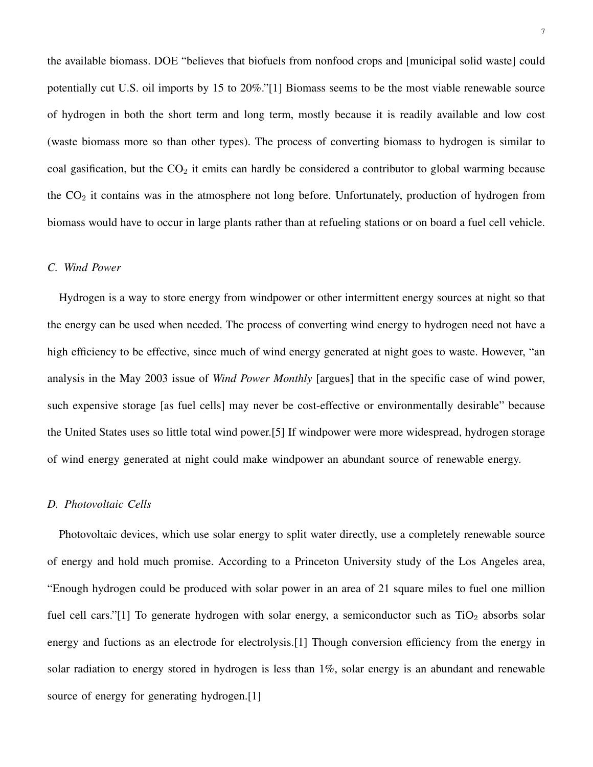the available biomass. DOE "believes that biofuels from nonfood crops and [municipal solid waste] could potentially cut U.S. oil imports by 15 to 20%."[1] Biomass seems to be the most viable renewable source of hydrogen in both the short term and long term, mostly because it is readily available and low cost (waste biomass more so than other types). The process of converting biomass to hydrogen is similar to coal gasification, but the  $CO<sub>2</sub>$  it emits can hardly be considered a contributor to global warming because the  $CO<sub>2</sub>$  it contains was in the atmosphere not long before. Unfortunately, production of hydrogen from biomass would have to occur in large plants rather than at refueling stations or on board a fuel cell vehicle.

# *C. Wind Power*

Hydrogen is a way to store energy from windpower or other intermittent energy sources at night so that the energy can be used when needed. The process of converting wind energy to hydrogen need not have a high efficiency to be effective, since much of wind energy generated at night goes to waste. However, "an analysis in the May 2003 issue of *Wind Power Monthly* [argues] that in the specific case of wind power, such expensive storage [as fuel cells] may never be cost-effective or environmentally desirable" because the United States uses so little total wind power.[5] If windpower were more widespread, hydrogen storage of wind energy generated at night could make windpower an abundant source of renewable energy.

#### *D. Photovoltaic Cells*

Photovoltaic devices, which use solar energy to split water directly, use a completely renewable source of energy and hold much promise. According to a Princeton University study of the Los Angeles area, "Enough hydrogen could be produced with solar power in an area of 21 square miles to fuel one million fuel cell cars."[1] To generate hydrogen with solar energy, a semiconductor such as  $TiO<sub>2</sub>$  absorbs solar energy and fuctions as an electrode for electrolysis.[1] Though conversion efficiency from the energy in solar radiation to energy stored in hydrogen is less than 1%, solar energy is an abundant and renewable source of energy for generating hydrogen.[1]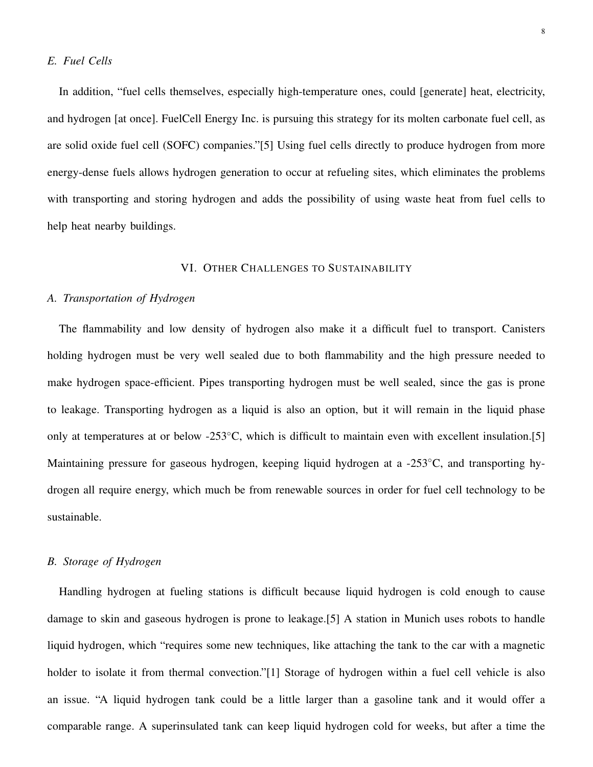## *E. Fuel Cells*

In addition, "fuel cells themselves, especially high-temperature ones, could [generate] heat, electricity, and hydrogen [at once]. FuelCell Energy Inc. is pursuing this strategy for its molten carbonate fuel cell, as are solid oxide fuel cell (SOFC) companies."[5] Using fuel cells directly to produce hydrogen from more energy-dense fuels allows hydrogen generation to occur at refueling sites, which eliminates the problems with transporting and storing hydrogen and adds the possibility of using waste heat from fuel cells to help heat nearby buildings.

## VI. OTHER CHALLENGES TO SUSTAINABILITY

## *A. Transportation of Hydrogen*

The flammability and low density of hydrogen also make it a difficult fuel to transport. Canisters holding hydrogen must be very well sealed due to both flammability and the high pressure needed to make hydrogen space-efficient. Pipes transporting hydrogen must be well sealed, since the gas is prone to leakage. Transporting hydrogen as a liquid is also an option, but it will remain in the liquid phase only at temperatures at or below -253◦C, which is difficult to maintain even with excellent insulation.[5] Maintaining pressure for gaseous hydrogen, keeping liquid hydrogen at a -253◦C, and transporting hydrogen all require energy, which much be from renewable sources in order for fuel cell technology to be sustainable.

## *B. Storage of Hydrogen*

Handling hydrogen at fueling stations is difficult because liquid hydrogen is cold enough to cause damage to skin and gaseous hydrogen is prone to leakage.[5] A station in Munich uses robots to handle liquid hydrogen, which "requires some new techniques, like attaching the tank to the car with a magnetic holder to isolate it from thermal convection."[1] Storage of hydrogen within a fuel cell vehicle is also an issue. "A liquid hydrogen tank could be a little larger than a gasoline tank and it would offer a comparable range. A superinsulated tank can keep liquid hydrogen cold for weeks, but after a time the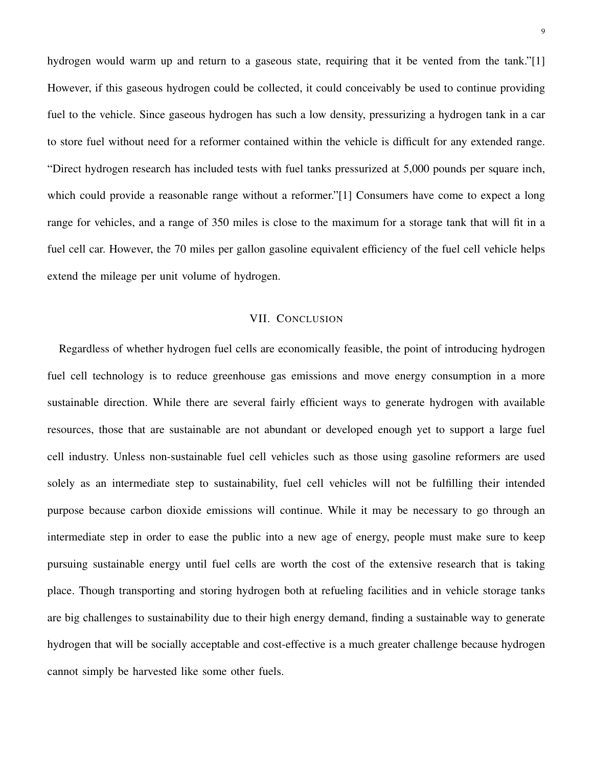hydrogen would warm up and return to a gaseous state, requiring that it be vented from the tank."[1] However, if this gaseous hydrogen could be collected, it could conceivably be used to continue providing fuel to the vehicle. Since gaseous hydrogen has such a low density, pressurizing a hydrogen tank in a car to store fuel without need for a reformer contained within the vehicle is difficult for any extended range. "Direct hydrogen research has included tests with fuel tanks pressurized at 5,000 pounds per square inch, which could provide a reasonable range without a reformer."[1] Consumers have come to expect a long range for vehicles, and a range of 350 miles is close to the maximum for a storage tank that will fit in a fuel cell car. However, the 70 miles per gallon gasoline equivalent efficiency of the fuel cell vehicle helps extend the mileage per unit volume of hydrogen.

## VII. CONCLUSION

Regardless of whether hydrogen fuel cells are economically feasible, the point of introducing hydrogen fuel cell technology is to reduce greenhouse gas emissions and move energy consumption in a more sustainable direction. While there are several fairly efficient ways to generate hydrogen with available resources, those that are sustainable are not abundant or developed enough yet to support a large fuel cell industry. Unless non-sustainable fuel cell vehicles such as those using gasoline reformers are used solely as an intermediate step to sustainability, fuel cell vehicles will not be fulfilling their intended purpose because carbon dioxide emissions will continue. While it may be necessary to go through an intermediate step in order to ease the public into a new age of energy, people must make sure to keep pursuing sustainable energy until fuel cells are worth the cost of the extensive research that is taking place. Though transporting and storing hydrogen both at refueling facilities and in vehicle storage tanks are big challenges to sustainability due to their high energy demand, finding a sustainable way to generate hydrogen that will be socially acceptable and cost-effective is a much greater challenge because hydrogen cannot simply be harvested like some other fuels.